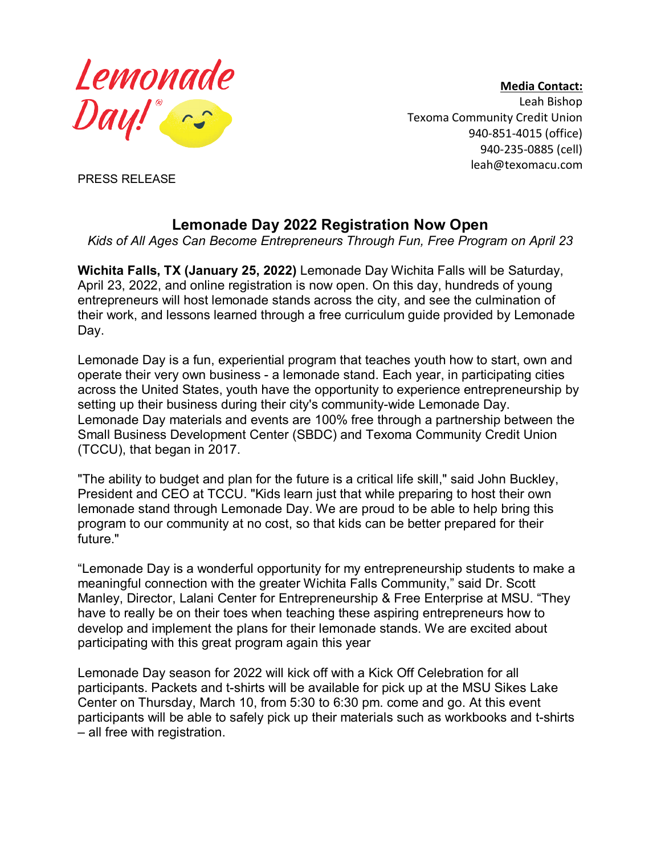

**Media Contact:** Leah Bishop Texoma Community Credit Union 940-851-4015 (office) 940-235-0885 (cell) leah@texomacu.com

PRESS RELEASE

## **Lemonade Day 2022 Registration Now Open**

*Kids of All Ages Can Become Entrepreneurs Through Fun, Free Program on April 23*

**Wichita Falls, TX (January 25, 2022)** Lemonade Day Wichita Falls will be Saturday, April 23, 2022, and online registration is now open. On this day, hundreds of young entrepreneurs will host lemonade stands across the city, and see the culmination of their work, and lessons learned through a free curriculum guide provided by Lemonade Day.

Lemonade Day is a fun, experiential program that teaches youth how to start, own and operate their very own business - a lemonade stand. Each year, in participating cities across the United States, youth have the opportunity to experience entrepreneurship by setting up their business during their city's community-wide Lemonade Day. Lemonade Day materials and events are 100% free through a partnership between the Small Business Development Center (SBDC) and Texoma Community Credit Union (TCCU), that began in 2017.

"The ability to budget and plan for the future is a critical life skill," said John Buckley, President and CEO at TCCU. "Kids learn just that while preparing to host their own lemonade stand through Lemonade Day. We are proud to be able to help bring this program to our community at no cost, so that kids can be better prepared for their future."

"Lemonade Day is a wonderful opportunity for my entrepreneurship students to make a meaningful connection with the greater Wichita Falls Community," said Dr. Scott Manley, Director, Lalani Center for Entrepreneurship & Free Enterprise at MSU. "They have to really be on their toes when teaching these aspiring entrepreneurs how to develop and implement the plans for their lemonade stands. We are excited about participating with this great program again this year

Lemonade Day season for 2022 will kick off with a Kick Off Celebration for all participants. Packets and t-shirts will be available for pick up at the MSU Sikes Lake Center on Thursday, March 10, from 5:30 to 6:30 pm. come and go. At this event participants will be able to safely pick up their materials such as workbooks and t-shirts – all free with registration.